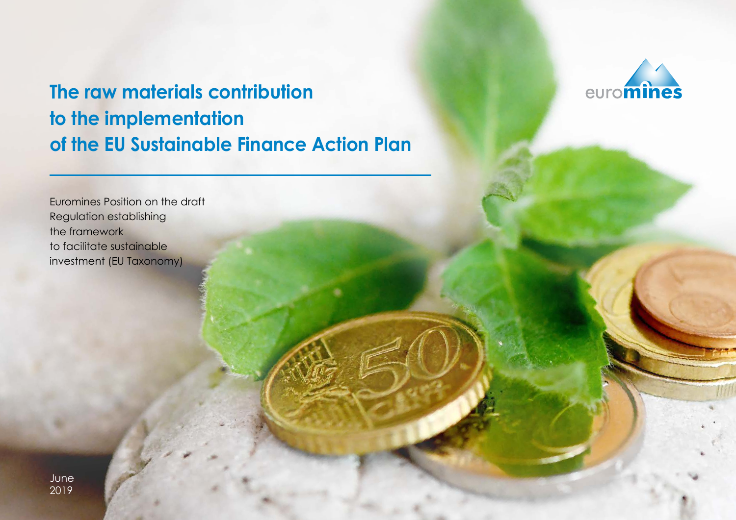# **The raw materials contribution to the implementation of the EU Sustainable Finance Action Plan**

Euromines Position on the draft Regulation establishing the framework to facilitate sustainable investment (EU Taxonomy)

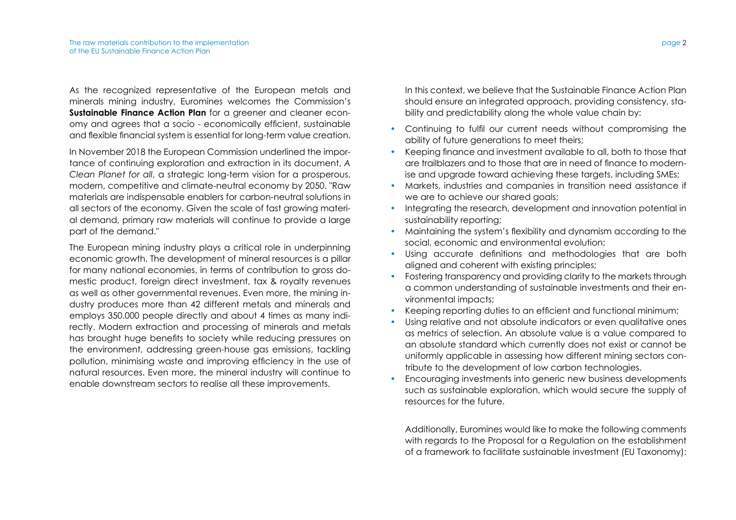As the recognized representative of the European metals and minerals mining industry, Euromines welcomes the Commission's **Sustainable Finance Action Plan** for a greener and cleaner economy and agrees that a socio - economically efficient, sustainable and flexible financial system is essential for long-term value creation.

In November 2018 the European Commission underlined the importance of continuing exploration and extraction in its document, *A Clean Planet for all*, a strategic long-term vision for a prosperous, modern, competitive and climate-neutral economy by 2050. "Raw materials are indispensable enablers for carbon-neutral solutions in all sectors of the economy. Given the scale of fast growing material demand, primary raw materials will continue to provide a large part of the demand."

The European mining industry plays a critical role in underpinning economic growth. The development of mineral resources is a pillar for many national economies, in terms of contribution to gross domestic product, foreign direct investment, tax & royalty revenues as well as other governmental revenues. Even more, the mining industry produces more than 42 different metals and minerals and employs 350.000 people directly and about 4 times as many indirectly. Modern extraction and processing of minerals and metals has brought huge benefits to society while reducing pressures on the environment, addressing green-house gas emissions, tackling pollution, minimising waste and improving efficiency in the use of natural resources. Even more, the mineral industry will continue to enable downstream sectors to realise all these improvements.

In this context, we believe that the Sustainable Finance Action Plan should ensure an integrated approach, providing consistency, stability and predictability along the whole value chain by:

- Continuing to fulfil our current needs without compromising the ability of future generations to meet theirs;
- Keeping finance and investment available to all, both to those that are trailblazers and to those that are in need of finance to modernise and upgrade toward achieving these targets, including SMEs;
- Markets, industries and companies in transition need assistance if we are to achieve our shared goals;
- Integrating the research, development and innovation potential in sustainability reporting;
- Maintaining the system's flexibility and dynamism according to the social, economic and environmental evolution;
- Using accurate definitions and methodologies that are both aligned and coherent with existing principles;
- Fostering transparency and providing clarity to the markets through a common understanding of sustainable investments and their environmental impacts;
- Keeping reporting duties to an efficient and functional minimum;
- Using relative and not absolute indicators or even qualitative ones as metrics of selection. An absolute value is a value compared to an absolute standard which currently does not exist or cannot be uniformly applicable in assessing how different mining sectors contribute to the development of low carbon technologies.
- Encouraging investments into generic new business developments such as sustainable exploration, which would secure the supply of resources for the future.

Additionally, Euromines would like to make the following comments with regards to the Proposal for a Regulation on the establishment of a framework to facilitate sustainable investment (EU Taxonomy):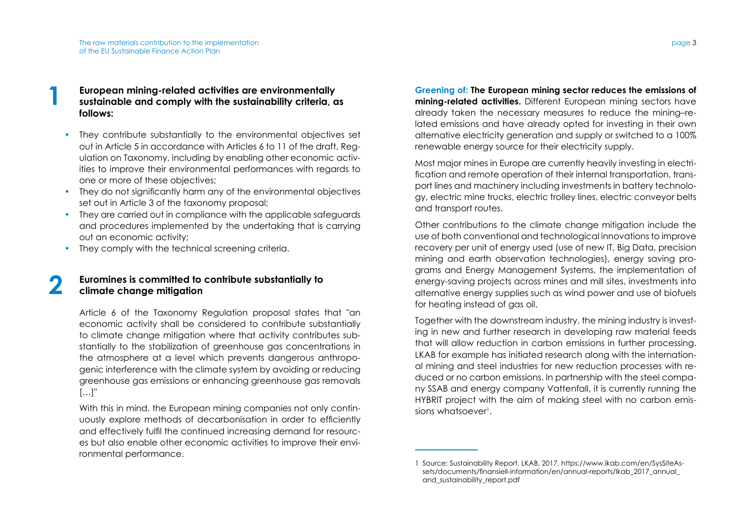# **1 European mining-related activities are environmentally sustainable and comply with the sustainability criteria, as follows:**

- They contribute substantially to the environmental objectives set out in Article 5 in accordance with Articles 6 to 11 of the draft, Regulation on Taxonomy, including by enabling other economic activities to improve their environmental performances with regards to one or more of these objectives;
- They do not significantly harm any of the environmental objectives set out in Article 3 of the taxonomy proposal;
- They are carried out in compliance with the applicable safeguards and procedures implemented by the undertaking that is carrying out an economic activity;
- They comply with the technical screening criteria.

#### **2 Euromines is committed to contribute substantially to climate change mitigation**

Article 6 of the Taxonomy Regulation proposal states that "an economic activity shall be considered to contribute substantially to climate change mitigation where that activity contributes substantially to the stabilization of greenhouse gas concentrations in the atmosphere at a level which prevents dangerous anthropogenic interference with the climate system by avoiding or reducing greenhouse gas emissions or enhancing greenhouse gas removals […]"

With this in mind, the European mining companies not only continuously explore methods of decarbonisation in order to efficiently and effectively fulfil the continued increasing demand for resources but also enable other economic activities to improve their environmental performance.

**Greening of: The European mining sector reduces the emissions of mining-related activities.** Different European mining sectors have already taken the necessary measures to reduce the mining–related emissions and have already opted for investing in their own alternative electricity generation and supply or switched to a 100% renewable energy source for their electricity supply.

Most major mines in Europe are currently heavily investing in electrification and remote operation of their internal transportation, transport lines and machinery including investments in battery technology, electric mine trucks, electric trolley lines, electric conveyor belts and transport routes.

Other contributions to the climate change mitigation include the use of both conventional and technological innovations to improve recovery per unit of energy used (use of new IT, Big Data, precision mining and earth observation technologies), energy saving programs and Energy Management Systems, the implementation of energy-saving projects across mines and mill sites, investments into alternative energy supplies such as wind power and use of biofuels for heating instead of gas oil.

Together with the downstream industry, the mining industry is investing in new and further research in developing raw material feeds that will allow reduction in carbon emissions in further processing. LKAB for example has initiated research along with the international mining and steel industries for new reduction processes with reduced or no carbon emissions. In partnership with the steel company SSAB and energy company Vattenfall, it is currently running the HYBRIT project with the aim of making steel with no carbon emissions whatsoever<sup>1</sup>.

<sup>1</sup> Source: Sustainability Report, LKAB, 2017, https://www.lkab.com/en/SysSiteAssets/documents/finansiell-information/en/annual-reports/lkab\_2017\_annual\_ and sustainability report.pdf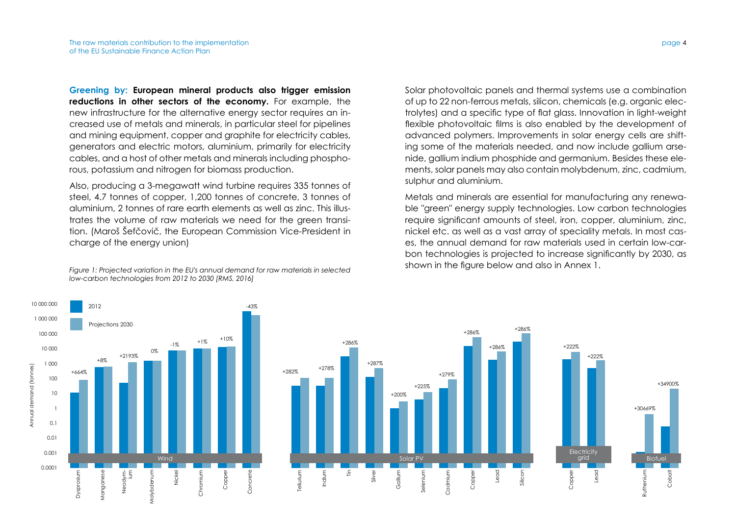+664%

+8%

Projections 2030

Dysprosium

**Dysprosiu** 

Manganese

Vangane

Neodym-ium

+2193%

0%

Molybdenum

olybden

10 000 000

Annual demand (tonnes)

Annual demand (tonnes)

**Greening by: European mineral products also trigger emission reductions in other sectors of the economy.** For example, the new infrastructure for the alternative energy sector requires an increased use of metals and minerals, in particular steel for pipelines and mining equipment, copper and graphite for electricity cables, generators and electric motors, aluminium, primarily for electricity cables, and a host of other metals and minerals including phosphorous, potassium and nitrogen for biomass production.

Also, producing a 3-megawatt wind turbine requires 335 tonnes of steel, 4.7 tonnes of copper, 1,200 tonnes of concrete, 3 tonnes of aluminium, 2 tonnes of rare earth elements as well as zinc. This illustrates the volume of raw materials we need for the green transition. (Maroš Šefčovič, the European Commission Vice-President in charge of the energy union)

*Figure 1: Projected variation in the EU's annual demand for raw materials in selected low-carbon technologies from 2012 to 2030 [RMS, 2016]*

Solar photovoltaic panels and thermal systems use a combination of up to 22 non-ferrous metals, silicon, chemicals (e.g. organic electrolytes) and a specific type of flat glass. Innovation in light-weight flexible photovoltaic films is also enabled by the development of advanced polymers. Improvements in solar energy cells are shifting some of the materials needed, and now include gallium arsenide, gallium indium phosphide and germanium. Besides these elements, solar panels may also contain molybdenum, zinc, cadmium, sulphur and aluminium.

Metals and minerals are essential for manufacturing any renewable "green" energy supply technologies. Low carbon technologies require significant amounts of steel, iron, copper, aluminium, zinc, nickel etc. as well as a vast array of speciality metals. In most cases, the annual demand for raw materials used in certain low-carbon technologies is projected to increase significantly by 2030, as shown in the figure below and also in Annex 1.



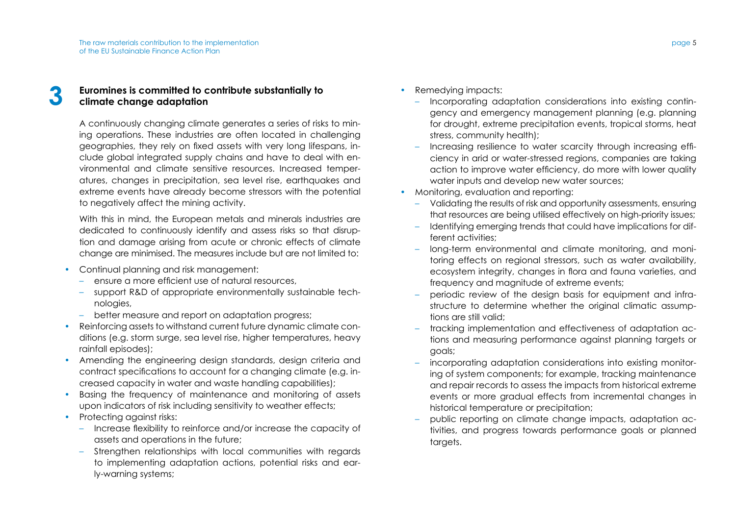## **3 Euromines is committed to contribute substantially to climate change adaptation**

A continuously changing climate generates a series of risks to mining operations. These industries are often located in challenging geographies, they rely on fixed assets with very long lifespans, include global integrated supply chains and have to deal with environmental and climate sensitive resources. Increased temperatures, changes in precipitation, sea level rise, earthquakes and extreme events have already become stressors with the potential to negatively affect the mining activity.

With this in mind, the European metals and minerals industries are dedicated to continuously identify and assess risks so that disruption and damage arising from acute or chronic effects of climate change are minimised. The measures include but are not limited to:

- Continual planning and risk management:
	- ensure a more efficient use of natural resources,
	- support R&D of appropriate environmentally sustainable technologies,
	- better measure and report on adaptation progress;
- Reinforcing assets to withstand current future dynamic climate conditions (e.g. storm surge, sea level rise, higher temperatures, heavy rainfall episodes);
- Amending the engineering design standards, design criteria and contract specifications to account for a changing climate (e.g. increased capacity in water and waste handling capabilities);
- Basing the frequency of maintenance and monitoring of assets upon indicators of risk including sensitivity to weather effects;
- Protecting against risks:
	- Increase flexibility to reinforce and/or increase the capacity of assets and operations in the future;
	- Strengthen relationships with local communities with regards to implementing adaptation actions, potential risks and early-warning systems;
- Remedying impacts:
	- Incorporating adaptation considerations into existing contingency and emergency management planning (e.g. planning for drought, extreme precipitation events, tropical storms, heat stress, community health);
	- Increasing resilience to water scarcity through increasing efficiency in arid or water-stressed regions, companies are taking action to improve water efficiency, do more with lower quality water inputs and develop new water sources;
- Monitoring, evaluation and reporting:
	- Validating the results of risk and opportunity assessments, ensuring that resources are being utilised effectively on high-priority issues;
	- Identifying emerging trends that could have implications for different activities;
	- long-term environmental and climate monitoring, and monitoring effects on regional stressors, such as water availability, ecosystem integrity, changes in flora and fauna varieties, and frequency and magnitude of extreme events;
	- periodic review of the design basis for equipment and infrastructure to determine whether the original climatic assumptions are still valid;
	- tracking implementation and effectiveness of adaptation actions and measuring performance against planning targets or goals;
	- incorporating adaptation considerations into existing monitoring of system components; for example, tracking maintenance and repair records to assess the impacts from historical extreme events or more gradual effects from incremental changes in historical temperature or precipitation;
	- public reporting on climate change impacts, adaptation activities, and progress towards performance goals or planned targets.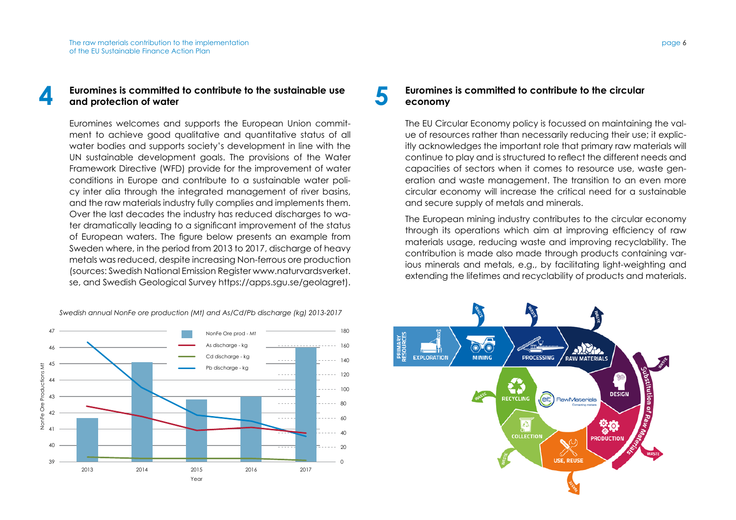#### **4 Euromines is committed to contribute to the sustainable use and protection of water**

Euromines welcomes and supports the European Union commitment to achieve good qualitative and quantitative status of all water bodies and supports society's development in line with the UN sustainable development goals. The provisions of the Water Framework Directive (WFD) provide for the improvement of water conditions in Europe and contribute to a sustainable water policy inter alia through the integrated management of river basins, and the raw materials industry fully complies and implements them. Over the last decades the industry has reduced discharges to water dramatically leading to a significant improvement of the status of European waters. The figure below presents an example from Sweden where, in the period from 2013 to 2017, discharge of heavy metals was reduced, despite increasing Non-ferrous ore production (sources: Swedish National Emission Register www.naturvardsverket. se, and Swedish Geological Survey https://apps.sgu.se/geolagret).

*Swedish annual NonFe ore production (Mt) and As/Cd/Pb discharge (kg) 2013-2017*



#### **5 Euromines is committed to contribute to the circular acconomy economy**

The EU Circular Economy policy is focussed on maintaining the value of resources rather than necessarily reducing their use; it explicitly acknowledges the important role that primary raw materials will continue to play and is structured to reflect the different needs and capacities of sectors when it comes to resource use, waste generation and waste management. The transition to an even more circular economy will increase the critical need for a sustainable and secure supply of metals and minerals.

The European mining industry contributes to the circular economy through its operations which aim at improving efficiency of raw materials usage, reducing waste and improving recyclability. The contribution is made also made through products containing various minerals and metals, e.g., by facilitating light-weighting and extending the lifetimes and recyclability of products and materials.

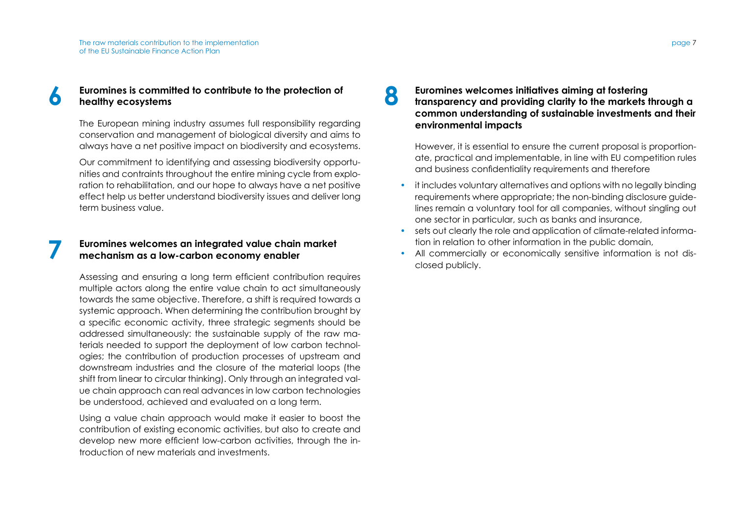### **6 Euromines is committed to contribute to the protection of <b>begitting healthy ecosystems**

The European mining industry assumes full responsibility regarding conservation and management of biological diversity and aims to always have a net positive impact on biodiversity and ecosystems.

Our commitment to identifying and assessing biodiversity opportunities and contraints throughout the entire mining cycle from exploration to rehabilitation, and our hope to always have a net positive effect help us better understand biodiversity issues and deliver long term business value.

#### **7 Euromines welcomes an integrated value chain market mechanism as a low-carbon economy enabler**

Assessing and ensuring a long term efficient contribution requires multiple actors along the entire value chain to act simultaneously towards the same objective. Therefore, a shift is required towards a systemic approach. When determining the contribution brought by a specific economic activity, three strategic segments should be addressed simultaneously: the sustainable supply of the raw materials needed to support the deployment of low carbon technologies; the contribution of production processes of upstream and downstream industries and the closure of the material loops (the shift from linear to circular thinking). Only through an integrated value chain approach can real advances in low carbon technologies be understood, achieved and evaluated on a long term.

Using a value chain approach would make it easier to boost the contribution of existing economic activities, but also to create and develop new more efficient low-carbon activities, through the introduction of new materials and investments.

## **8 Euromines welcomes initiatives aiming at fostering transparency and providing clarity to the markets through a common understanding of sustainable investments and their environmental impacts**

However, it is essential to ensure the current proposal is proportionate, practical and implementable, in line with EU competition rules and business confidentiality requirements and therefore

- it includes voluntary alternatives and options with no legally binding requirements where appropriate; the non-binding disclosure guidelines remain a voluntary tool for all companies, without singling out one sector in particular, such as banks and insurance,
- sets out clearly the role and application of climate-related information in relation to other information in the public domain,
- All commercially or economically sensitive information is not disclosed publicly.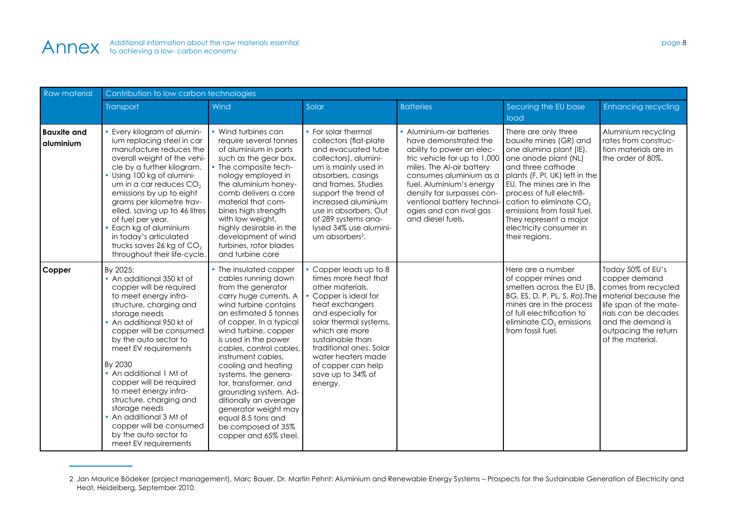| Raw material                    | Contribution to low carbon technologies                                                                                                                                                                                                                                                                                                                                                                                                                                                     |                                                                                                                                                                                                                                                                                                                                                                                                                                                                                                  |                                                                                                                                                                                                                                                                                                                           |                                                                                                                                                                                                                                                                                                                 |                                                                                                                                                                                                                                                                                                                                                                 |                                                                                                                                                                                                      |  |
|---------------------------------|---------------------------------------------------------------------------------------------------------------------------------------------------------------------------------------------------------------------------------------------------------------------------------------------------------------------------------------------------------------------------------------------------------------------------------------------------------------------------------------------|--------------------------------------------------------------------------------------------------------------------------------------------------------------------------------------------------------------------------------------------------------------------------------------------------------------------------------------------------------------------------------------------------------------------------------------------------------------------------------------------------|---------------------------------------------------------------------------------------------------------------------------------------------------------------------------------------------------------------------------------------------------------------------------------------------------------------------------|-----------------------------------------------------------------------------------------------------------------------------------------------------------------------------------------------------------------------------------------------------------------------------------------------------------------|-----------------------------------------------------------------------------------------------------------------------------------------------------------------------------------------------------------------------------------------------------------------------------------------------------------------------------------------------------------------|------------------------------------------------------------------------------------------------------------------------------------------------------------------------------------------------------|--|
|                                 | Transport                                                                                                                                                                                                                                                                                                                                                                                                                                                                                   | Wind                                                                                                                                                                                                                                                                                                                                                                                                                                                                                             | Solar                                                                                                                                                                                                                                                                                                                     | <b>Batteries</b>                                                                                                                                                                                                                                                                                                | Securing the EU base<br>load                                                                                                                                                                                                                                                                                                                                    | <b>Enhancing recycling</b>                                                                                                                                                                           |  |
| <b>Bauxite and</b><br>aluminium | Every kilogram of alumin-<br>ium replacing steel in car<br>manufacture reduces the<br>overall weight of the vehi-<br>cle by a further kilogram.<br>· Using 100 kg of alumini-<br>um in a car reduces $CO2$<br>emissions by up to eight<br>grams per kilometre trav-<br>elled, saving up to 46 litres<br>of fuel per year.<br>· Each kg of aluminium<br>in today's articulated<br>trucks saves 26 kg of $CO2$<br>throughout their life-cycle.                                                | Wind turbines can<br>require several tonnes<br>of aluminium in parts<br>such as the gear box.<br>The composite tech-<br>nology employed in<br>the aluminium honey-<br>comb delivers a core<br>material that com-<br>bines high strength<br>with low weight,<br>highly desirable in the<br>development of wind<br>turbines, rotor blades<br>and turbine core                                                                                                                                      | • For solar thermal<br>collectors (flat-plate<br>and evacuated tube<br>collectors), alumini-<br>um is mainly used in<br>absorbers, casings<br>and frames. Studies<br>support the trend of<br>increased aluminium<br>use in absorbers. Out<br>of 289 systems ana-<br>lysed 34% use alumini-<br>um absorbers <sup>2</sup> . | • Aluminium-air batteries<br>have demonstrated the<br>ability to power an elec-<br>tric vehicle for up to 1,000<br>miles. The Al-air battery<br>consumes aluminium as a<br>fuel. Aluminium's energy<br>density far surpasses con-<br>ventional battery technol-<br>ogies and can rival gas<br>and diesel fuels. | There are only three<br>bauxite mines (GR) and<br>one alumina plant (IE),<br>one anode plant (NL)<br>and three cathode<br>plants (F, Pl, UK) left in the<br>EU. The mines are in the<br>process of full electrifi-<br>cation to eliminate CO <sub>2</sub><br>emissions from fossil fuel.<br>They represent a major<br>electricity consumer in<br>their regions. | Aluminium recycling<br>rates from construc-<br>tion materials are in<br>the order of 80%.                                                                                                            |  |
| Copper                          | By 2025:<br>• An additional 350 kt of<br>copper will be required<br>to meet energy infra-<br>structure, charging and<br>storage needs<br>• An additional 950 kt of<br>copper will be consumed<br>by the auto sector to<br>meet EV requirements<br>By 2030<br>• An additional 1 Mt of<br>copper will be required<br>to meet energy infra-<br>structure, charging and<br>storage needs<br>• An additional 3 Mt of<br>copper will be consumed<br>by the auto sector to<br>meet EV requirements | The insulated copper<br>cables running down<br>from the generator<br>carry huge currents. A<br>wind turbine contains<br>an estimated 5 tonnes<br>of copper. In a typical<br>wind turbine, copper<br>is used in the power<br>cables, control cables,<br>instrument cables.<br>cooling and heating<br>systems, the genera-<br>tor, transformer, and<br>grounding system. Ad-<br>ditionally an average<br>generator weight may<br>equal 8.5 tons and<br>be composed of 35%<br>copper and 65% steel. | • Copper leads up to 8<br>times more heat that<br>other materials.<br>Copper is ideal for<br>heat exchangers<br>and especially for<br>solar thermal systems,<br>which are more<br>sustainable than<br>traditional ones. Solar<br>water heaters made<br>of copper can help<br>save up to 34% of<br>energy.                 |                                                                                                                                                                                                                                                                                                                 | Here are a number<br>of copper mines and<br>smelters across the EU (B,<br>BG, ES, D, P, PL, S, Ro). The<br>mines are in the process<br>of full electrification to<br>eliminate $CO2$ emissions<br>from fossil fuel.                                                                                                                                             | Today 50% of EU's<br>copper demand<br>comes from recycled<br>material because the<br>life span of the mate-<br>rials can be decades<br>and the demand is<br>outpacing the return<br>of the material. |  |

<sup>2</sup> Jan Maurice Bödeker (project management), Marc Bauer, Dr. Martin Pehnt: Aluminium and Renewable Energy Systems – Prospects for the Sustainable Generation of Electricity and Heat, Heidelberg, September 2010.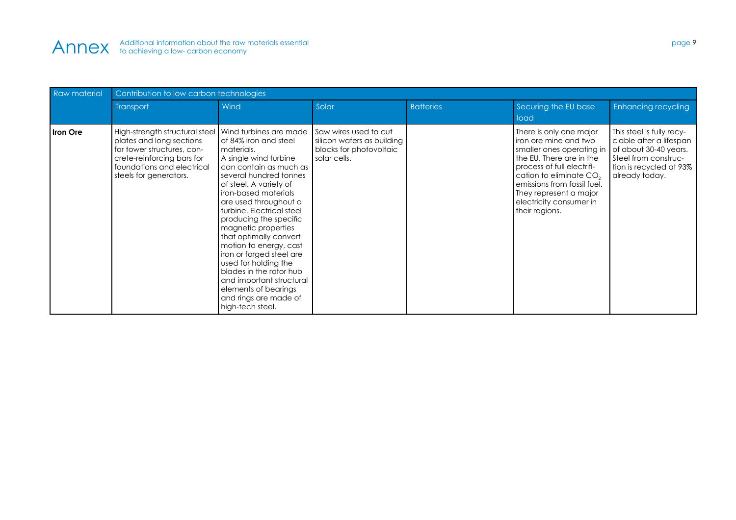

| <b>Raw material</b> | Contribution to low carbon technologies                                                                                                                                                                 |                                                                                                                                                                                                                                                                                                                                                                                                                                                                                                               |                                                                                                |                  |                                                                                                                                                                                                                                                                                      |                                                                                                                                                    |  |
|---------------------|---------------------------------------------------------------------------------------------------------------------------------------------------------------------------------------------------------|---------------------------------------------------------------------------------------------------------------------------------------------------------------------------------------------------------------------------------------------------------------------------------------------------------------------------------------------------------------------------------------------------------------------------------------------------------------------------------------------------------------|------------------------------------------------------------------------------------------------|------------------|--------------------------------------------------------------------------------------------------------------------------------------------------------------------------------------------------------------------------------------------------------------------------------------|----------------------------------------------------------------------------------------------------------------------------------------------------|--|
|                     | Transport                                                                                                                                                                                               | Wind                                                                                                                                                                                                                                                                                                                                                                                                                                                                                                          | Solar                                                                                          | <b>Batteries</b> | Securing the EU base<br>load                                                                                                                                                                                                                                                         | <b>Enhancing recycling</b>                                                                                                                         |  |
| <b>Iron Ore</b>     | High-strength structural steel   Wind turbines are made<br>plates and long sections<br>for tower structures, con-<br>crete-reinforcing bars for<br>foundations and electrical<br>steels for generators. | of 84% iron and steel<br>materials.<br>A single wind turbine<br>can contain as much as<br>several hundred tonnes<br>of steel. A variety of<br>iron-based materials<br>are used throughout a<br>turbine. Electrical steel<br>producing the specific<br>magnetic properties<br>that optimally convert<br>motion to energy, cast<br>iron or forged steel are<br>used for holding the<br>blades in the rotor hub<br>and important structural<br>elements of bearings<br>and rings are made of<br>high-tech steel. | Saw wires used to cut<br>silicon wafers as building<br>blocks for photovoltaic<br>solar cells. |                  | There is only one major<br>iron ore mine and two<br>smaller ones operating in<br>the EU. There are in the<br>process of full electrifi-<br>cation to eliminate CO <sub>2</sub><br>emissions from fossil fuel.<br>They represent a major<br>electricity consumer in<br>their regions. | This steel is fully recy-<br>clable after a lifespan<br>of about 30-40 years.<br>Steel from construc-<br>tion is recycled at 93%<br>already today. |  |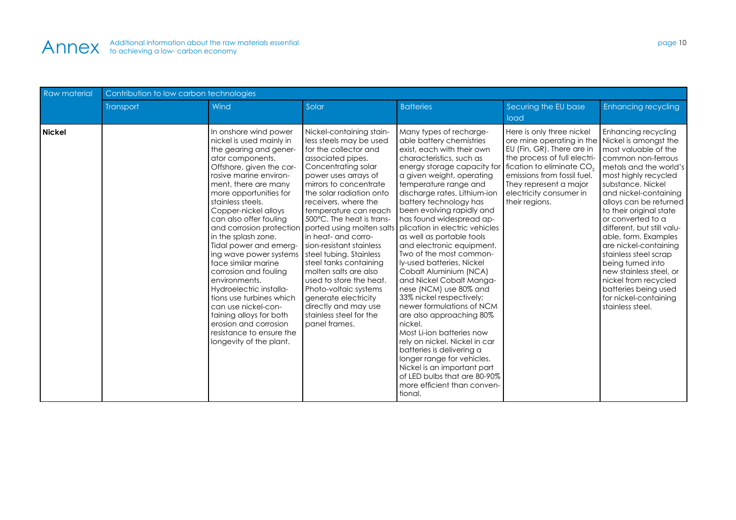

| <b>Raw material</b> | Contribution to low carbon technologies |                                                                                                                                                                                                                                                                                                                                                                                                                                                                                                                                                                                                                                                 |                                                                                                                                                                                                                                                                                                                                                                                                                                                                                                                                                                                                      |                                                                                                                                                                                                                                                                                                                                                                                                                                                                                                                                                                                                                                                                                                                                                                                                                                                                                             |                                                                                                                                                                                                                                                                                           |                                                                                                                                                                                                                                                                                                                                                                                                                                                                                                  |  |
|---------------------|-----------------------------------------|-------------------------------------------------------------------------------------------------------------------------------------------------------------------------------------------------------------------------------------------------------------------------------------------------------------------------------------------------------------------------------------------------------------------------------------------------------------------------------------------------------------------------------------------------------------------------------------------------------------------------------------------------|------------------------------------------------------------------------------------------------------------------------------------------------------------------------------------------------------------------------------------------------------------------------------------------------------------------------------------------------------------------------------------------------------------------------------------------------------------------------------------------------------------------------------------------------------------------------------------------------------|---------------------------------------------------------------------------------------------------------------------------------------------------------------------------------------------------------------------------------------------------------------------------------------------------------------------------------------------------------------------------------------------------------------------------------------------------------------------------------------------------------------------------------------------------------------------------------------------------------------------------------------------------------------------------------------------------------------------------------------------------------------------------------------------------------------------------------------------------------------------------------------------|-------------------------------------------------------------------------------------------------------------------------------------------------------------------------------------------------------------------------------------------------------------------------------------------|--------------------------------------------------------------------------------------------------------------------------------------------------------------------------------------------------------------------------------------------------------------------------------------------------------------------------------------------------------------------------------------------------------------------------------------------------------------------------------------------------|--|
|                     | Transport                               | Wind                                                                                                                                                                                                                                                                                                                                                                                                                                                                                                                                                                                                                                            | Solar                                                                                                                                                                                                                                                                                                                                                                                                                                                                                                                                                                                                | <b>Batteries</b>                                                                                                                                                                                                                                                                                                                                                                                                                                                                                                                                                                                                                                                                                                                                                                                                                                                                            | Securing the EU base<br>load                                                                                                                                                                                                                                                              | <b>Enhancing recycling</b>                                                                                                                                                                                                                                                                                                                                                                                                                                                                       |  |
| <b>Nickel</b>       |                                         | In onshore wind power<br>nickel is used mainly in<br>the gearing and gener-<br>ator components.<br>Offshore, given the cor-<br>rosive marine environ-<br>ment, there are many<br>more opportunities for<br>stainless steels.<br>Copper-nickel alloys<br>can also offer fouling<br>and corrosion protection<br>in the splash zone.<br>Tidal power and emerg-<br>ing wave power systems<br>face similar marine<br>corrosion and fouling<br>environments.<br>Hydroelectric installa-<br>tions use turbines which<br>can use nickel-con-<br>taining alloys for both<br>erosion and corrosion<br>resistance to ensure the<br>longevity of the plant. | Nickel-containing stain-<br>less steels may be used<br>for the collector and<br>associated pipes.<br>Concentrating solar<br>power uses arrays of<br>mirrors to concentrate<br>the solar radiation onto<br>receivers, where the<br>temperature can reach<br>500°C. The heat is trans-<br>ported using molten salts<br>I in heat- and corro-<br>sion-resistant stainless<br>steel tubing. Stainless<br>steel tanks containing<br>molten salts are also<br>used to store the heat.<br>Photo-voltaic systems<br>generate electricity<br>directly and may use<br>stainless steel for the<br>panel frames. | Many types of recharge-<br>able battery chemistries<br>exist, each with their own<br>characteristics, such as<br>energy storage capacity for<br>a given weight, operating<br>temperature range and<br>discharge rates. Lithium-ion<br>battery technology has<br>been evolving rapidly and<br>has found widespread ap-<br>plication in electric vehicles<br>as well as portable tools<br>and electronic equipment.<br>Two of the most common-<br>ly-used batteries, Nickel<br>Cobalt Aluminium (NCA)<br>and Nickel Cobalt Manga-<br>nese (NCM) use 80% and<br>33% nickel respectively;<br>newer formulations of NCM<br>are also approaching 80%<br>nickel.<br>Most Li-ion batteries now<br>rely on nickel. Nickel in car<br>batteries is delivering a<br>longer range for vehicles.<br>Nickel is an important part<br>of LED bulbs that are 80-90%<br>more efficient than conven-<br>tional. | Here is only three nickel<br>ore mine operating in the Nickel is amongst the<br>EU (Fin, GR). There are in<br>the process of full electri-<br>fication to eliminate CO <sub>2</sub><br>emissions from fossil fuel.<br>They represent a major<br>electricity consumer in<br>their regions. | Enhancing recycling<br>most valuable of the<br>common non-ferrous<br>metals and the world's<br>most highly recycled<br>substance. Nickel<br>and nickel-containing<br>alloys can be returned<br>to their original state<br>or converted to a<br>different, but still valu-<br>able, form. Examples<br>are nickel-containing<br>stainless steel scrap<br>being turned into<br>new stainless steel, or<br>nickel from recycled<br>batteries being used<br>for nickel-containing<br>stainless steel. |  |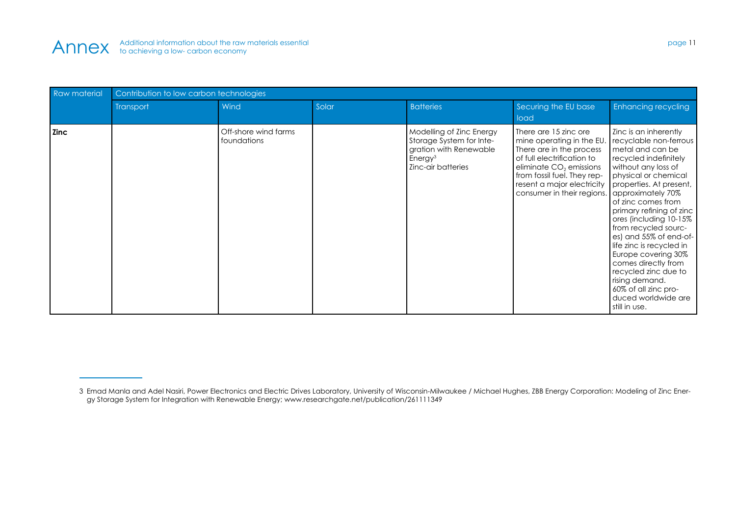

| <b>Raw material</b> | Contribution to low carbon technologies |                                     |       |                                                                                                                             |                                                                                                                                                                                                                                                                                            |                                                                                                                                                                                                                                                                                                                                                                                                                                                               |  |
|---------------------|-----------------------------------------|-------------------------------------|-------|-----------------------------------------------------------------------------------------------------------------------------|--------------------------------------------------------------------------------------------------------------------------------------------------------------------------------------------------------------------------------------------------------------------------------------------|---------------------------------------------------------------------------------------------------------------------------------------------------------------------------------------------------------------------------------------------------------------------------------------------------------------------------------------------------------------------------------------------------------------------------------------------------------------|--|
|                     | Transport                               | Wind                                | Solar | <b>Batteries</b>                                                                                                            | Securing the EU base<br>load                                                                                                                                                                                                                                                               | Enhancing recycling                                                                                                                                                                                                                                                                                                                                                                                                                                           |  |
| <b>Zinc</b>         |                                         | Off-shore wind farms<br>foundations |       | Modelling of Zinc Energy<br>Storage System for Inte-<br>gration with Renewable<br>Energy <sup>3</sup><br>Zinc-air batteries | There are 15 zinc ore<br>mine operating in the EU.<br>There are in the process<br>of full electrification to<br>eliminate CO <sub>2</sub> emissions<br>from fossil fuel. They rep-<br>resent a major electricity properties. At present,<br>consumer in their regions.   approximately 70% | Zinc is an inherently<br>recyclable non-ferrous<br>metal and can be<br>recycled indefinitely<br>without any loss of<br>physical or chemical<br>of zinc comes from<br>primary refining of zinc<br>ores (including 10-15%<br>from recycled sourc-<br>es) and 55% of end-of-<br>life zinc is recycled in<br>Europe covering 30%<br>comes directly from<br>recycled zinc due to<br>rising demand.<br>60% of all zinc pro-<br>duced worldwide are<br>still in use. |  |

<sup>3</sup> Emad Manla and Adel Nasiri, Power Electronics and Electric Drives Laboratory, University of Wisconsin-Milwaukee / Michael Hughes, ZBB Energy Corporation: Modeling of Zinc Energy Storage System for Integration with Renewable Energy; www.researchgate.net/publication/261111349